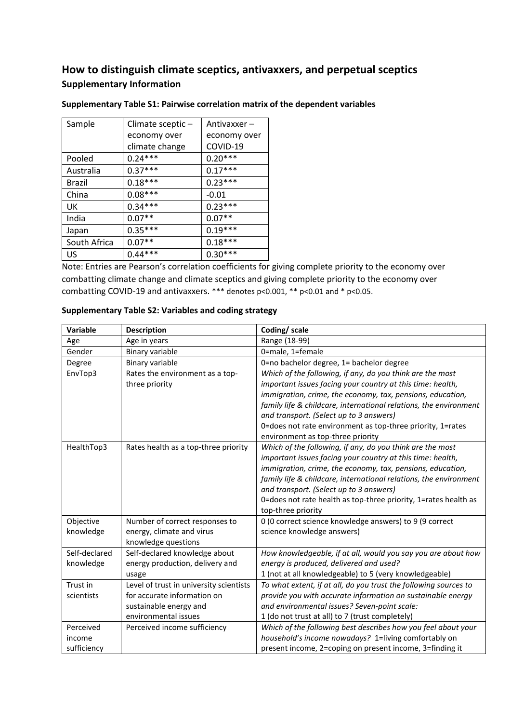# **How to distinguish climate sceptics, antivaxxers, and perpetual sceptics Supplementary Information**

| Sample        | Climate sceptic- | Antivaxxer - |
|---------------|------------------|--------------|
|               | economy over     | economy over |
|               | climate change   | COVID-19     |
| Pooled        | $0.24***$        | $0.20***$    |
| Australia     | $0.37***$        | $0.17***$    |
| <b>Brazil</b> | $0.18***$        | $0.23***$    |
| China         | $0.08***$        | $-0.01$      |
| UK            | $0.34***$        | $0.23***$    |
| India         | $0.07**$         | $0.07**$     |
| Japan         | $0.35***$        | $0.19***$    |
| South Africa  | $0.07**$         | $0.18***$    |
| US            | $0.44***$        | $0.30***$    |

### **Supplementary Table S1: Pairwise correlation matrix of the dependent variables**

Note: Entries are Pearson's correlation coefficients for giving complete priority to the economy over combatting climate change and climate sceptics and giving complete priority to the economy over combatting COVID-19 and antivaxxers. \*\*\* denotes p<0.001, \*\* p<0.01 and \* p<0.05.

| <b>Variable</b> | <b>Description</b>                      | Coding/ scale                                                     |
|-----------------|-----------------------------------------|-------------------------------------------------------------------|
| Age             | Age in years                            | Range (18-99)                                                     |
| Gender          | Binary variable                         | 0=male, 1=female                                                  |
| Degree          | <b>Binary variable</b>                  | 0=no bachelor degree, 1= bachelor degree                          |
| EnvTop3         | Rates the environment as a top-         | Which of the following, if any, do you think are the most         |
|                 | three priority                          | important issues facing your country at this time: health,        |
|                 |                                         | immigration, crime, the economy, tax, pensions, education,        |
|                 |                                         | family life & childcare, international relations, the environment |
|                 |                                         | and transport. (Select up to 3 answers)                           |
|                 |                                         | 0=does not rate environment as top-three priority, 1=rates        |
|                 |                                         | environment as top-three priority                                 |
| HealthTop3      | Rates health as a top-three priority    | Which of the following, if any, do you think are the most         |
|                 |                                         | important issues facing your country at this time: health,        |
|                 |                                         | immigration, crime, the economy, tax, pensions, education,        |
|                 |                                         | family life & childcare, international relations, the environment |
|                 |                                         | and transport. (Select up to 3 answers)                           |
|                 |                                         | 0=does not rate health as top-three priority, 1=rates health as   |
|                 |                                         | top-three priority                                                |
| Objective       | Number of correct responses to          | 0 (0 correct science knowledge answers) to 9 (9 correct           |
| knowledge       | energy, climate and virus               | science knowledge answers)                                        |
|                 | knowledge questions                     |                                                                   |
| Self-declared   | Self-declared knowledge about           | How knowledgeable, if at all, would you say you are about how     |
| knowledge       | energy production, delivery and         | energy is produced, delivered and used?                           |
|                 | usage                                   | 1 (not at all knowledgeable) to 5 (very knowledgeable)            |
| Trust in        | Level of trust in university scientists | To what extent, if at all, do you trust the following sources to  |
| scientists      | for accurate information on             | provide you with accurate information on sustainable energy       |
|                 | sustainable energy and                  | and environmental issues? Seven-point scale:                      |
|                 | environmental issues                    | 1 (do not trust at all) to 7 (trust completely)                   |
| Perceived       | Perceived income sufficiency            | Which of the following best describes how you feel about your     |
| income          |                                         | household's income nowadays? 1=living comfortably on              |
| sufficiency     |                                         | present income, 2=coping on present income, 3=finding it          |

### **Supplementary Table S2: Variables and coding strategy**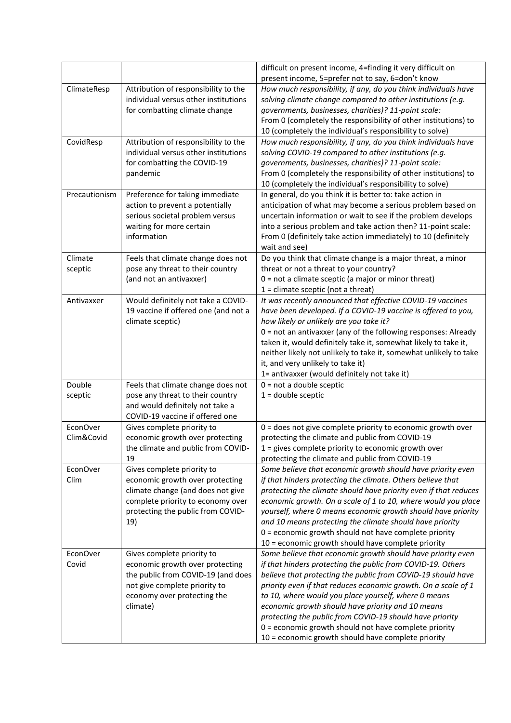|                        |                                                                                                                                                                                     | difficult on present income, 4=finding it very difficult on<br>present income, 5=prefer not to say, 6=don't know                                                                                                                                                                                                                                                                                                                                                                                                                                     |
|------------------------|-------------------------------------------------------------------------------------------------------------------------------------------------------------------------------------|------------------------------------------------------------------------------------------------------------------------------------------------------------------------------------------------------------------------------------------------------------------------------------------------------------------------------------------------------------------------------------------------------------------------------------------------------------------------------------------------------------------------------------------------------|
| ClimateResp            | Attribution of responsibility to the<br>individual versus other institutions<br>for combatting climate change                                                                       | How much responsibility, if any, do you think individuals have<br>solving climate change compared to other institutions (e.g.<br>governments, businesses, charities)? 11-point scale:<br>From 0 (completely the responsibility of other institutions) to<br>10 (completely the individual's responsibility to solve)                                                                                                                                                                                                                                 |
| CovidResp              | Attribution of responsibility to the<br>individual versus other institutions<br>for combatting the COVID-19<br>pandemic                                                             | How much responsibility, if any, do you think individuals have<br>solving COVID-19 compared to other institutions (e.g.<br>governments, businesses, charities)? 11-point scale:<br>From 0 (completely the responsibility of other institutions) to<br>10 (completely the individual's responsibility to solve)                                                                                                                                                                                                                                       |
| Precautionism          | Preference for taking immediate<br>action to prevent a potentially<br>serious societal problem versus<br>waiting for more certain<br>information                                    | In general, do you think it is better to: take action in<br>anticipation of what may become a serious problem based on<br>uncertain information or wait to see if the problem develops<br>into a serious problem and take action then? 11-point scale:<br>From 0 (definitely take action immediately) to 10 (definitely<br>wait and see)                                                                                                                                                                                                             |
| Climate<br>sceptic     | Feels that climate change does not<br>pose any threat to their country<br>(and not an antivaxxer)                                                                                   | Do you think that climate change is a major threat, a minor<br>threat or not a threat to your country?<br>0 = not a climate sceptic (a major or minor threat)<br>$1 =$ climate sceptic (not a threat)                                                                                                                                                                                                                                                                                                                                                |
| Antivaxxer             | Would definitely not take a COVID-<br>19 vaccine if offered one (and not a<br>climate sceptic)                                                                                      | It was recently announced that effective COVID-19 vaccines<br>have been developed. If a COVID-19 vaccine is offered to you,<br>how likely or unlikely are you take it?<br>$0 =$ not an antivaxxer (any of the following responses: Already<br>taken it, would definitely take it, somewhat likely to take it,<br>neither likely not unlikely to take it, somewhat unlikely to take<br>it, and very unlikely to take it)<br>1= antivaxxer (would definitely not take it)                                                                              |
| Double<br>sceptic      | Feels that climate change does not<br>pose any threat to their country<br>and would definitely not take a<br>COVID-19 vaccine if offered one                                        | $0 = not a double sceptic$<br>$1 =$ double sceptic                                                                                                                                                                                                                                                                                                                                                                                                                                                                                                   |
| EconOver<br>Clim&Covid | Gives complete priority to<br>economic growth over protecting<br>the climate and public from COVID-<br>19                                                                           | 0 = does not give complete priority to economic growth over<br>protecting the climate and public from COVID-19<br>$1 =$ gives complete priority to economic growth over<br>protecting the climate and public from COVID-19                                                                                                                                                                                                                                                                                                                           |
| EconOver<br>Clim       | Gives complete priority to<br>economic growth over protecting<br>climate change (and does not give<br>complete priority to economy over<br>protecting the public from COVID-<br>19) | Some believe that economic growth should have priority even<br>if that hinders protecting the climate. Others believe that<br>protecting the climate should have priority even if that reduces<br>economic growth. On a scale of 1 to 10, where would you place<br>yourself, where 0 means economic growth should have priority<br>and 10 means protecting the climate should have priority<br>$0 =$ economic growth should not have complete priority<br>10 = economic growth should have complete priority                                         |
| EconOver<br>Covid      | Gives complete priority to<br>economic growth over protecting<br>the public from COVID-19 (and does<br>not give complete priority to<br>economy over protecting the<br>climate)     | Some believe that economic growth should have priority even<br>if that hinders protecting the public from COVID-19. Others<br>believe that protecting the public from COVID-19 should have<br>priority even if that reduces economic growth. On a scale of 1<br>to 10, where would you place yourself, where 0 means<br>economic growth should have priority and 10 means<br>protecting the public from COVID-19 should have priority<br>0 = economic growth should not have complete priority<br>10 = economic growth should have complete priority |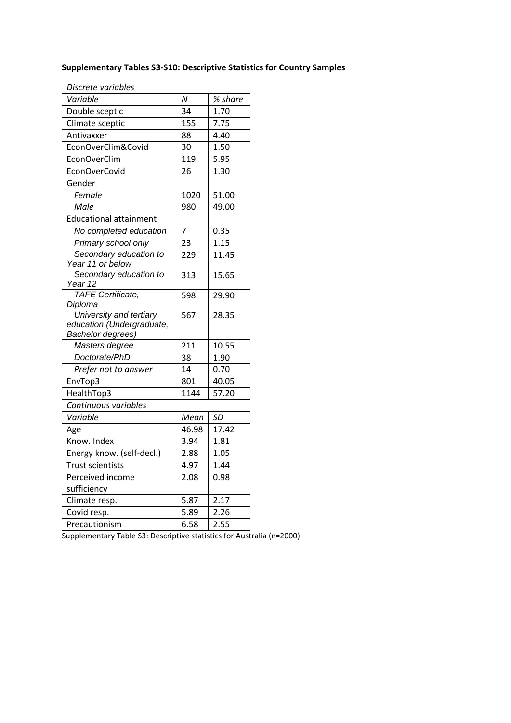| Discrete variables                        |       |         |  |  |
|-------------------------------------------|-------|---------|--|--|
| Variable                                  | N     | % share |  |  |
| Double sceptic                            | 34    | 1.70    |  |  |
| Climate sceptic                           | 155   | 7.75    |  |  |
| Antivaxxer                                | 88    | 4.40    |  |  |
| EconOverClim&Covid                        | 30    | 1.50    |  |  |
| EconOverClim                              | 119   | 5.95    |  |  |
| EconOverCovid                             | 26    | 1.30    |  |  |
| Gender                                    |       |         |  |  |
| Female                                    | 1020  | 51.00   |  |  |
| Male                                      | 980   | 49.00   |  |  |
| <b>Educational attainment</b>             |       |         |  |  |
| No completed education                    | 7     | 0.35    |  |  |
| Primary school only                       | 23    | 1.15    |  |  |
| Secondary education to                    | 229   | 11.45   |  |  |
| Year 11 or below                          |       |         |  |  |
| Secondary education to                    | 313   | 15.65   |  |  |
| Year 12<br><b>TAFE</b> Certificate,       |       |         |  |  |
| Diploma                                   | 598   | 29.90   |  |  |
| <b>Digital</b><br>University and tertiary | 567   | 28.35   |  |  |
| education (Undergraduate,                 |       |         |  |  |
| Bachelor degrees)                         |       |         |  |  |
| Masters degree                            | 211   | 10.55   |  |  |
| Doctorate/PhD                             | 38    | 1.90    |  |  |
| Prefer not to answer                      | 14    | 0.70    |  |  |
| EnvTop3                                   | 801   | 40.05   |  |  |
| HealthTop3                                | 1144  | 57.20   |  |  |
| Continuous variables                      |       |         |  |  |
| Variable                                  | Mean  | SD      |  |  |
| Age                                       | 46.98 | 17.42   |  |  |
| Know. Index                               | 3.94  | 1.81    |  |  |
| Energy know. (self-decl.)                 | 2.88  | 1.05    |  |  |
| <b>Trust scientists</b>                   | 4.97  | 1.44    |  |  |
| Perceived income                          | 2.08  | 0.98    |  |  |
| sufficiency                               |       |         |  |  |
| Climate resp.                             | 5.87  | 2.17    |  |  |
| Covid resp.                               | 5.89  | 2.26    |  |  |
| Precautionism                             | 6.58  | 2.55    |  |  |

## **Supplementary Tables S3-S10: Descriptive Statistics for Country Samples**

Supplementary Table S3: Descriptive statistics for Australia (n=2000)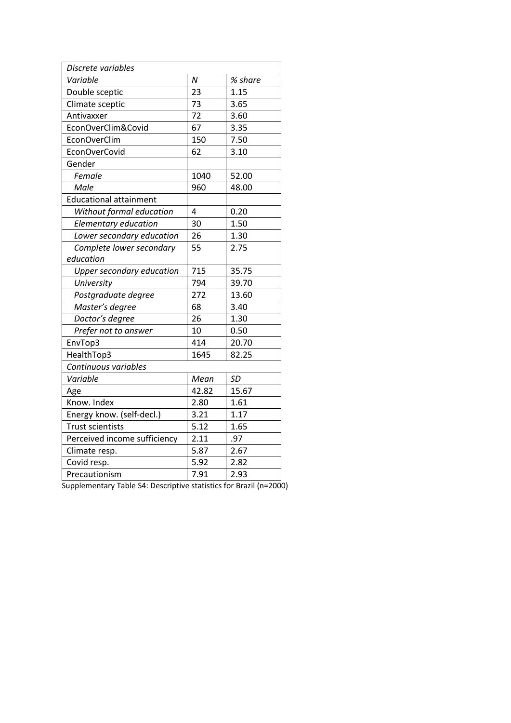| Discrete variables            |       |           |
|-------------------------------|-------|-----------|
| Variable                      | N     | % share   |
| Double sceptic                | 23    | 1.15      |
| Climate sceptic               | 73    | 3.65      |
| Antivaxxer                    | 72    | 3.60      |
| EconOverClim&Covid            | 67    | 3.35      |
| EconOverClim                  | 150   | 7.50      |
| EconOverCovid                 | 62    | 3.10      |
| Gender                        |       |           |
| Female                        | 1040  | 52.00     |
| Male                          | 960   | 48.00     |
| <b>Educational attainment</b> |       |           |
| Without formal education      | 4     | 0.20      |
| Elementary education          | 30    | 1.50      |
| Lower secondary education     | 26    | 1.30      |
| Complete lower secondary      | 55    | 2.75      |
| education                     |       |           |
| Upper secondary education     | 715   | 35.75     |
| University                    | 794   | 39.70     |
| Postgraduate degree           | 272   | 13.60     |
| Master's degree               | 68    | 3.40      |
| Doctor's degree               | 26    | 1.30      |
| Prefer not to answer          | 10    | 0.50      |
| EnvTop3                       | 414   | 20.70     |
| HealthTop3                    | 1645  | 82.25     |
| Continuous variables          |       |           |
| Variable                      | Mean  | <b>SD</b> |
| Age                           | 42.82 | 15.67     |
| Know. Index                   | 2.80  | 1.61      |
| Energy know. (self-decl.)     | 3.21  | 1.17      |
| <b>Trust scientists</b>       | 5.12  | 1.65      |
| Perceived income sufficiency  | 2.11  | .97       |
| Climate resp.                 | 5.87  | 2.67      |
| Covid resp.                   | 5.92  | 2.82      |
| Precautionism                 | 7.91  | 2.93      |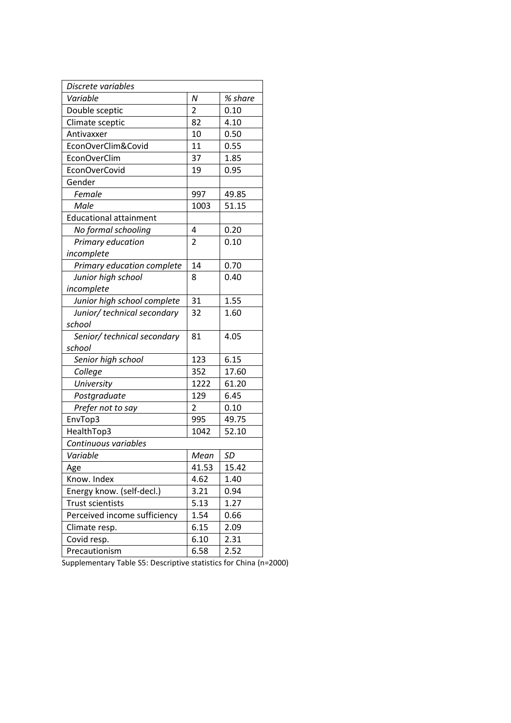| Discrete variables            |                |         |
|-------------------------------|----------------|---------|
| Variable                      | Ν              | % share |
| Double sceptic                | 2              | 0.10    |
| Climate sceptic               | 82             | 4.10    |
| Antivaxxer                    | 10             | 0.50    |
| EconOverClim&Covid            | 11             | 0.55    |
| EconOverClim                  | 37             | 1.85    |
| EconOverCovid                 | 19             | 0.95    |
| Gender                        |                |         |
| Female                        | 997            | 49.85   |
| Male                          | 1003           | 51.15   |
| <b>Educational attainment</b> |                |         |
| No formal schooling           | 4              | 0.20    |
| Primary education             | $\overline{2}$ | 0.10    |
| incomplete                    |                |         |
| Primary education complete    | 14             | 0.70    |
| Junior high school            | 8              | 0.40    |
| incomplete                    |                |         |
| Junior high school complete   | 31             | 1.55    |
| Junior/ technical secondary   | 32             | 1.60    |
| school                        |                |         |
| Senior/ technical secondary   | 81             | 4.05    |
| school                        |                |         |
| Senior high school            | 123            | 6.15    |
| College                       | 352            | 17.60   |
| University                    | 1222           | 61.20   |
| Postgraduate                  | 129            | 6.45    |
| Prefer not to say             | $\overline{2}$ | 0.10    |
| EnvTop3                       | 995            | 49.75   |
| HealthTop3                    | 1042           | 52.10   |
| Continuous variables          |                |         |
| Variable                      | Mean           | SD      |
| Age                           | 41.53          | 15.42   |
| Know. Index                   | 4.62           | 1.40    |
| Energy know. (self-decl.)     | 3.21           | 0.94    |
| <b>Trust scientists</b>       | 5.13           | 1.27    |
| Perceived income sufficiency  | 1.54           | 0.66    |
| Climate resp.                 | 6.15           | 2.09    |
| Covid resp.                   | 6.10           | 2.31    |
| Precautionism                 | 6.58           | 2.52    |

Supplementary Table S5: Descriptive statistics for China (n=2000)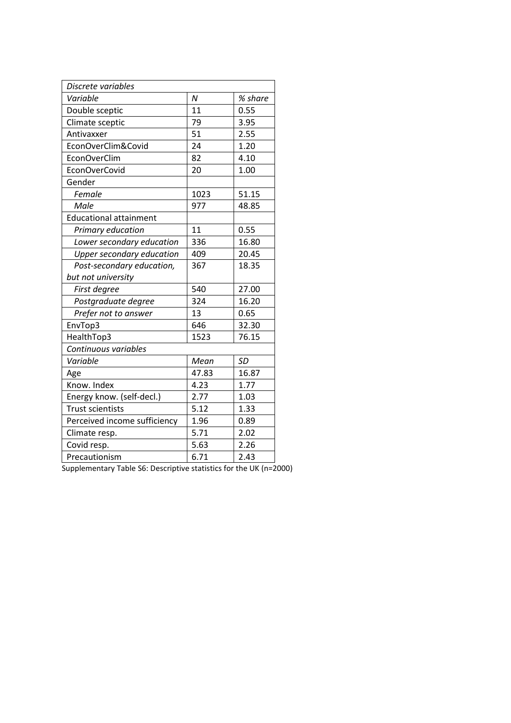| Discrete variables               |                  |           |
|----------------------------------|------------------|-----------|
| Variable                         | $\boldsymbol{N}$ | % share   |
| Double sceptic                   | 11               | 0.55      |
| Climate sceptic                  | 79               | 3.95      |
| Antivaxxer                       | 51               | 2.55      |
| EconOverClim&Covid               | 24               | 1.20      |
| EconOverClim                     | 82               | 4.10      |
| EconOverCovid                    | 20               | 1.00      |
| Gender                           |                  |           |
| Female                           | 1023             | 51.15     |
| Male                             | 977              | 48.85     |
| <b>Educational attainment</b>    |                  |           |
| Primary education                | 11               | 0.55      |
| Lower secondary education        | 336              | 16.80     |
| <b>Upper secondary education</b> | 409              | 20.45     |
| Post-secondary education,        | 367              | 18.35     |
| but not university               |                  |           |
| First degree                     | 540              | 27.00     |
| Postgraduate degree              | 324              | 16.20     |
| Prefer not to answer             | 13               | 0.65      |
| EnvTop3                          | 646              | 32.30     |
| HealthTop3                       | 1523             | 76.15     |
| Continuous variables             |                  |           |
| Variable                         | Mean             | <b>SD</b> |
| Age                              | 47.83            | 16.87     |
| Know. Index                      | 4.23             | 1.77      |
| Energy know. (self-decl.)        | 2.77             | 1.03      |
| <b>Trust scientists</b>          | 5.12             | 1.33      |
| Perceived income sufficiency     | 1.96             | 0.89      |
| Climate resp.                    | 5.71             | 2.02      |
| Covid resp.                      | 5.63             | 2.26      |
| Precautionism                    | 6.71             | 2.43      |

Supplementary Table S6: Descriptive statistics for the UK (n=2000)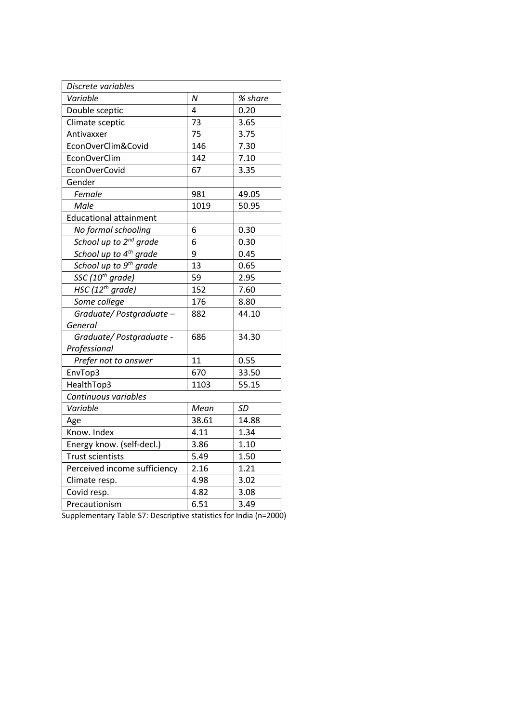| Discrete variables                 |       |         |
|------------------------------------|-------|---------|
| Variable                           | N     | % share |
| Double sceptic                     | 4     | 0.20    |
| Climate sceptic                    | 73    | 3.65    |
| Antivaxxer                         | 75    | 3.75    |
| EconOverClim&Covid                 | 146   | 7.30    |
| EconOverClim                       | 142   | 7.10    |
| EconOverCovid                      | 67    | 3.35    |
| Gender                             |       |         |
| Female                             | 981   | 49.05   |
| Male                               | 1019  | 50.95   |
| <b>Educational attainment</b>      |       |         |
| No formal schooling                | 6     | 0.30    |
| School up to 2 <sup>nd</sup> grade | 6     | 0.30    |
| School up to 4 <sup>th</sup> grade | 9     | 0.45    |
| School up to 9 <sup>th</sup> grade | 13    | 0.65    |
| SSC (10 <sup>th</sup> grade)       | 59    | 2.95    |
| HSC $(12th grade)$                 | 152   | 7.60    |
| Some college                       | 176   | 8.80    |
| Graduate/Postgraduate-             | 882   | 44.10   |
| General                            |       |         |
| Graduate/Postgraduate -            | 686   | 34.30   |
| Professional                       |       |         |
| Prefer not to answer               | 11    | 0.55    |
| EnvTop3                            | 670   | 33.50   |
| HealthTop3                         | 1103  | 55.15   |
| Continuous variables               |       |         |
| Variable                           | Mean  | SD      |
| Age                                | 38.61 | 14.88   |
| Know. Index                        | 4.11  | 1.34    |
| Energy know. (self-decl.)          | 3.86  | 1.10    |
| <b>Trust scientists</b>            | 5.49  | 1.50    |
| Perceived income sufficiency       | 2.16  | 1.21    |
| Climate resp.                      | 4.98  | 3.02    |
| Covid resp.                        | 4.82  | 3.08    |
| Precautionism                      | 6.51  | 3.49    |

Supplementary Table S7: Descriptive statistics for India (n=2000)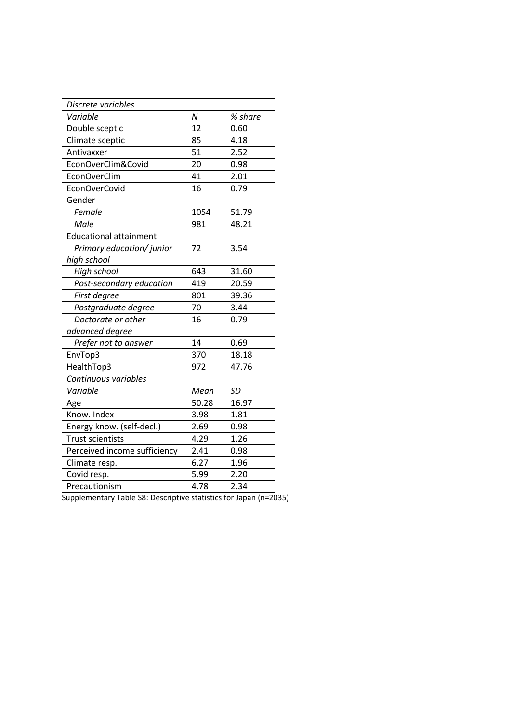| Discrete variables            |       |         |  |
|-------------------------------|-------|---------|--|
| Variable                      | N     | % share |  |
| Double sceptic                | 12    | 0.60    |  |
| Climate sceptic               | 85    | 4.18    |  |
| Antivaxxer                    | 51    | 2.52    |  |
| EconOverClim&Covid            | 20    | 0.98    |  |
| EconOverClim                  | 41    | 2.01    |  |
| EconOverCovid                 | 16    | 0.79    |  |
| Gender                        |       |         |  |
| Female                        | 1054  | 51.79   |  |
| Male                          | 981   | 48.21   |  |
| <b>Educational attainment</b> |       |         |  |
| Primary education/ junior     | 72    | 3.54    |  |
| high school                   |       |         |  |
| High school                   | 643   | 31.60   |  |
| Post-secondary education      | 419   | 20.59   |  |
| First degree                  | 801   | 39.36   |  |
| Postgraduate degree           | 70    | 3.44    |  |
| Doctorate or other            | 16    | 0.79    |  |
| advanced degree               |       |         |  |
| Prefer not to answer          | 14    | 0.69    |  |
| EnvTop3                       | 370   | 18.18   |  |
| HealthTop3                    | 972   | 47.76   |  |
| Continuous variables          |       |         |  |
| Variable                      | Mean  | SD      |  |
| Age                           | 50.28 | 16.97   |  |
| Know. Index                   | 3.98  | 1.81    |  |
| Energy know. (self-decl.)     | 2.69  | 0.98    |  |
| <b>Trust scientists</b>       | 4.29  | 1.26    |  |
| Perceived income sufficiency  | 2.41  | 0.98    |  |
| Climate resp.                 | 6.27  | 1.96    |  |
| Covid resp.                   | 5.99  | 2.20    |  |
| Precautionism                 | 4.78  | 2.34    |  |

Supplementary Table S8: Descriptive statistics for Japan (n=2035)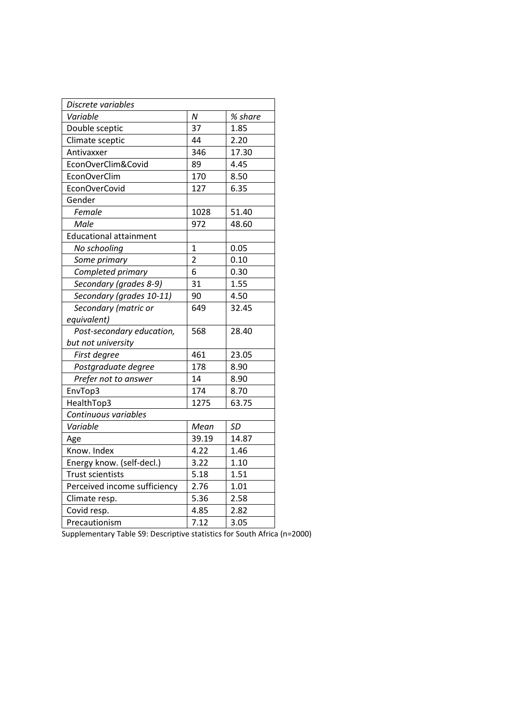| Discrete variables            |                |           |
|-------------------------------|----------------|-----------|
| Variable                      | N              | % share   |
| Double sceptic                | 37             | 1.85      |
| Climate sceptic               | 44             | 2.20      |
| Antivaxxer                    | 346            | 17.30     |
| EconOverClim&Covid            | 89             | 4.45      |
| EconOverClim                  | 170            | 8.50      |
| EconOverCovid                 | 127            | 6.35      |
| Gender                        |                |           |
| Female                        | 1028           | 51.40     |
| Male                          | 972            | 48.60     |
| <b>Educational attainment</b> |                |           |
| No schooling                  | $\mathbf{1}$   | 0.05      |
| Some primary                  | $\overline{2}$ | 0.10      |
| Completed primary             | 6              | 0.30      |
| Secondary (grades 8-9)        | 31             | 1.55      |
| Secondary (grades 10-11)      | 90             | 4.50      |
| Secondary (matric or          | 649            | 32.45     |
| equivalent)                   |                |           |
| Post-secondary education,     | 568            | 28.40     |
| but not university            |                |           |
| First degree                  | 461            | 23.05     |
| Postgraduate degree           | 178            | 8.90      |
| Prefer not to answer          | 14             | 8.90      |
| EnvTop3                       | 174            | 8.70      |
| HealthTop3                    | 1275           | 63.75     |
| Continuous variables          |                |           |
| Variable                      | Mean           | <b>SD</b> |
| Age                           | 39.19          | 14.87     |
| Know. Index                   | 4.22           | 1.46      |
| Energy know. (self-decl.)     | 3.22           | 1.10      |
| <b>Trust scientists</b>       | 5.18           | 1.51      |
| Perceived income sufficiency  | 2.76           | 1.01      |
| Climate resp.                 | 5.36           | 2.58      |
| Covid resp.                   | 4.85           | 2.82      |
| Precautionism                 | 7.12           | 3.05      |

Supplementary Table S9: Descriptive statistics for South Africa (n=2000)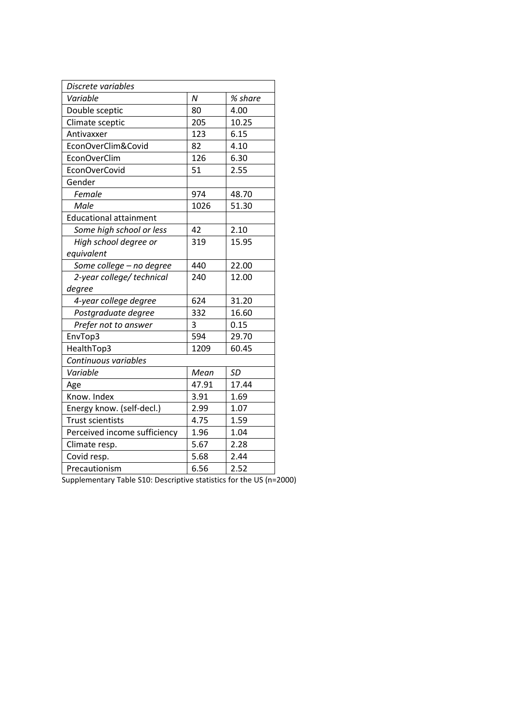| Discrete variables            |       |         |
|-------------------------------|-------|---------|
| Variable                      | N     | % share |
| Double sceptic                | 80    | 4.00    |
| Climate sceptic               | 205   | 10.25   |
| Antivaxxer                    | 123   | 6.15    |
| EconOverClim&Covid            | 82    | 4.10    |
| EconOverClim                  | 126   | 6.30    |
| EconOverCovid                 | 51    | 2.55    |
| Gender                        |       |         |
| Female                        | 974   | 48.70   |
| Male                          | 1026  | 51.30   |
| <b>Educational attainment</b> |       |         |
| Some high school or less      | 42    | 2.10    |
| High school degree or         | 319   | 15.95   |
| equivalent                    |       |         |
| Some college - no degree      | 440   | 22.00   |
| 2-year college/ technical     | 240   | 12.00   |
| degree                        |       |         |
| 4-year college degree         | 624   | 31.20   |
| Postgraduate degree           | 332   | 16.60   |
| Prefer not to answer          | 3     | 0.15    |
| EnvTop3                       | 594   | 29.70   |
| HealthTop3                    | 1209  | 60.45   |
| Continuous variables          |       |         |
| Variable                      | Mean  | SD      |
| Age                           | 47.91 | 17.44   |
| Know. Index                   | 3.91  | 1.69    |
| Energy know. (self-decl.)     | 2.99  | 1.07    |
| <b>Trust scientists</b>       | 4.75  | 1.59    |
| Perceived income sufficiency  | 1.96  | 1.04    |
| Climate resp.                 | 5.67  | 2.28    |
| Covid resp.                   | 5.68  | 2.44    |
| Precautionism                 | 6.56  | 2.52    |

Supplementary Table S10: Descriptive statistics for the US (n=2000)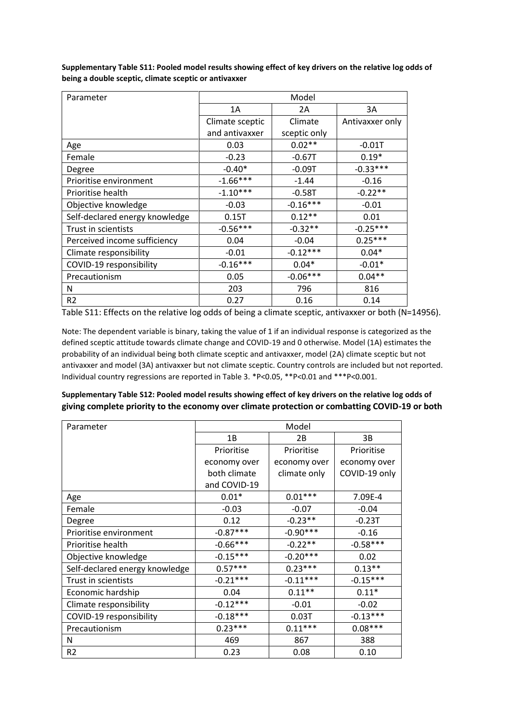| Parameter                      | Model           |              |                 |
|--------------------------------|-----------------|--------------|-----------------|
|                                | 1A              | 2A           | 3A              |
|                                | Climate sceptic | Climate      | Antivaxxer only |
|                                | and antivaxxer  | sceptic only |                 |
| Age                            | 0.03            | $0.02**$     | $-0.01T$        |
| Female                         | $-0.23$         | $-0.67T$     | $0.19*$         |
| Degree                         | $-0.40*$        | $-0.09T$     | $-0.33***$      |
| Prioritise environment         | $-1.66***$      | $-1.44$      | $-0.16$         |
| Prioritise health              | $-1.10***$      | $-0.58T$     | $-0.22**$       |
| Objective knowledge            | $-0.03$         | $-0.16***$   | $-0.01$         |
| Self-declared energy knowledge | 0.15T           | $0.12**$     | 0.01            |
| Trust in scientists            | $-0.56***$      | $-0.32**$    | $-0.25***$      |
| Perceived income sufficiency   | 0.04            | $-0.04$      | $0.25***$       |
| Climate responsibility         | $-0.01$         | $-0.12***$   | $0.04*$         |
| COVID-19 responsibility        | $-0.16***$      | $0.04*$      | $-0.01*$        |
| Precautionism                  | 0.05            | $-0.06***$   | $0.04**$        |
| N                              | 203             | 796          | 816             |
| R <sub>2</sub>                 | 0.27            | 0.16         | 0.14            |

**Supplementary Table S11: Pooled model results showing effect of key drivers on the relative log odds of being a double sceptic, climate sceptic or antivaxxer**

Table S11: Effects on the relative log odds of being a climate sceptic, antivaxxer or both (N=14956).

Note: The dependent variable is binary, taking the value of 1 if an individual response is categorized as the defined sceptic attitude towards climate change and COVID-19 and 0 otherwise. Model (1A) estimates the probability of an individual being both climate sceptic and antivaxxer, model (2A) climate sceptic but not antivaxxer and model (3A) antivaxxer but not climate sceptic. Country controls are included but not reported. Individual country regressions are reported in Table 3. \*P<0.05, \*\*P<0.01 and \*\*\*P<0.001.

**Supplementary Table S12: Pooled model results showing effect of key drivers on the relative log odds of giving complete priority to the economy over climate protection or combatting COVID-19 or both**

| Parameter                      |              | Model        |               |
|--------------------------------|--------------|--------------|---------------|
|                                | 1B           | 2B           | 3B            |
|                                | Prioritise   | Prioritise   | Prioritise    |
|                                | economy over | economy over | economy over  |
|                                | both climate | climate only | COVID-19 only |
|                                | and COVID-19 |              |               |
| Age                            | $0.01*$      | $0.01***$    | 7.09E-4       |
| Female                         | $-0.03$      | $-0.07$      | $-0.04$       |
| Degree                         | 0.12         | $-0.23**$    | $-0.23T$      |
| Prioritise environment         | $-0.87***$   | $-0.90***$   | $-0.16$       |
| Prioritise health              | $-0.66***$   | $-0.22**$    | $-0.58***$    |
| Objective knowledge            | $-0.15***$   | $-0.20***$   | 0.02          |
| Self-declared energy knowledge | $0.57***$    | $0.23***$    | $0.13**$      |
| Trust in scientists            | $-0.21***$   | $-0.11***$   | $-0.15***$    |
| Economic hardship              | 0.04         | $0.11**$     | $0.11*$       |
| Climate responsibility         | $-0.12***$   | $-0.01$      | $-0.02$       |
| COVID-19 responsibility        | $-0.18***$   | 0.03T        | $-0.13***$    |
| Precautionism                  | $0.23***$    | $0.11***$    | $0.08***$     |
| N                              | 469          | 867          | 388           |
| R <sub>2</sub>                 | 0.23         | 0.08         | 0.10          |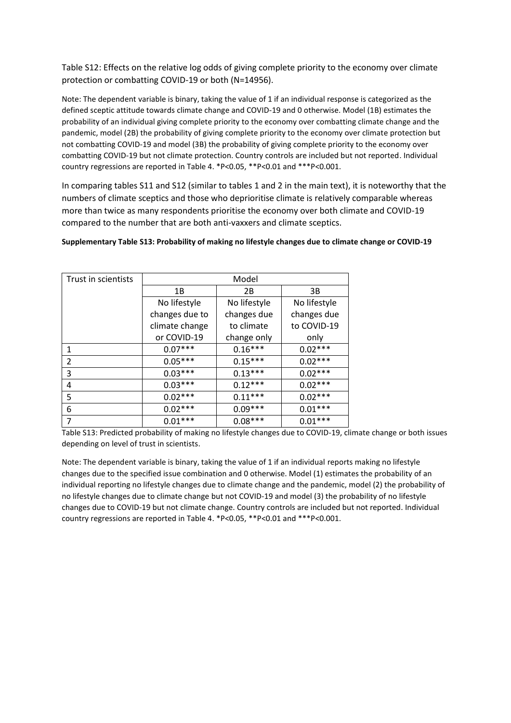Table S12: Effects on the relative log odds of giving complete priority to the economy over climate protection or combatting COVID-19 or both (N=14956).

Note: The dependent variable is binary, taking the value of 1 if an individual response is categorized as the defined sceptic attitude towards climate change and COVID-19 and 0 otherwise. Model (1B) estimates the probability of an individual giving complete priority to the economy over combatting climate change and the pandemic, model (2B) the probability of giving complete priority to the economy over climate protection but not combatting COVID-19 and model (3B) the probability of giving complete priority to the economy over combatting COVID-19 but not climate protection. Country controls are included but not reported. Individual country regressions are reported in Table 4. \*P<0.05, \*\*P<0.01 and \*\*\*P<0.001.

In comparing tables S11 and S12 (similar to tables 1 and 2 in the main text), it is noteworthy that the numbers of climate sceptics and those who deprioritise climate is relatively comparable whereas more than twice as many respondents prioritise the economy over both climate and COVID-19 compared to the number that are both anti-vaxxers and climate sceptics.

| Trust in scientists |                | Model        |              |
|---------------------|----------------|--------------|--------------|
|                     | 1B             | 2B           | 3В           |
|                     | No lifestyle   | No lifestyle | No lifestyle |
|                     | changes due to | changes due  | changes due  |
|                     | climate change | to climate   | to COVID-19  |
|                     | or COVID-19    | change only  | only         |
| 1                   | $0.07***$      | $0.16***$    | $0.02***$    |
| $\overline{2}$      | $0.05***$      | $0.15***$    | $0.02***$    |
| 3                   | $0.03***$      | $0.13***$    | $0.02***$    |
| 4                   | $0.03***$      | $0.12***$    | $0.02***$    |
| 5                   | $0.02***$      | $0.11***$    | $0.02***$    |
| 6                   | $0.02***$      | $0.09***$    | $0.01***$    |
| 7                   | $0.01***$      | $0.08***$    | $0.01***$    |

### **Supplementary Table S13: Probability of making no lifestyle changes due to climate change or COVID-19**

Note: The dependent variable is binary, taking the value of 1 if an individual reports making no lifestyle changes due to the specified issue combination and 0 otherwise. Model (1) estimates the probability of an individual reporting no lifestyle changes due to climate change and the pandemic, model (2) the probability of no lifestyle changes due to climate change but not COVID-19 and model (3) the probability of no lifestyle changes due to COVID-19 but not climate change. Country controls are included but not reported. Individual country regressions are reported in Table 4. \*P<0.05, \*\*P<0.01 and \*\*\*P<0.001.

Table S13: Predicted probability of making no lifestyle changes due to COVID-19, climate change or both issues depending on level of trust in scientists.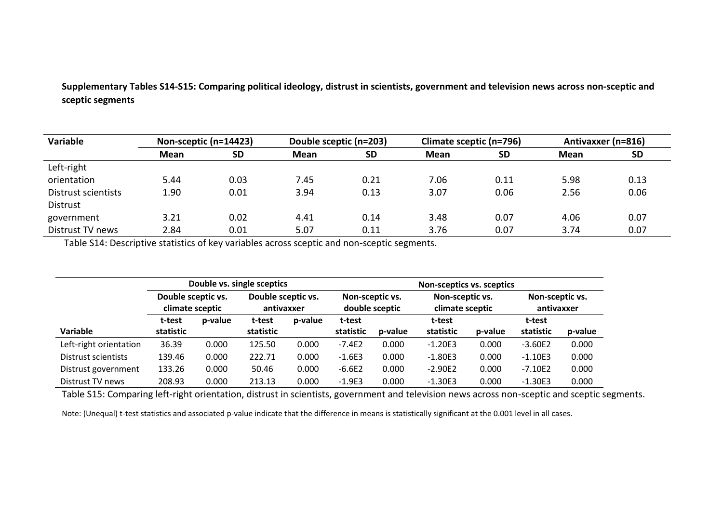**Supplementary Tables S14-S15: Comparing political ideology, distrust in scientists, government and television news across non-sceptic and sceptic segments**

| Variable            | Non-sceptic (n=14423) |           | Double sceptic (n=203) |           | Climate sceptic (n=796) |           | Antivaxxer (n=816) |           |
|---------------------|-----------------------|-----------|------------------------|-----------|-------------------------|-----------|--------------------|-----------|
|                     | <b>Mean</b>           | <b>SD</b> | Mean                   | <b>SD</b> | <b>Mean</b>             | <b>SD</b> | Mean               | <b>SD</b> |
| Left-right          |                       |           |                        |           |                         |           |                    |           |
| orientation         | 5.44                  | 0.03      | 7.45                   | 0.21      | 7.06                    | 0.11      | 5.98               | 0.13      |
| Distrust scientists | 1.90                  | 0.01      | 3.94                   | 0.13      | 3.07                    | 0.06      | 2.56               | 0.06      |
| Distrust            |                       |           |                        |           |                         |           |                    |           |
| government          | 3.21                  | 0.02      | 4.41                   | 0.14      | 3.48                    | 0.07      | 4.06               | 0.07      |
| Distrust TV news    | 2.84                  | 0.01      | 5.07                   | 0.11      | 3.76                    | 0.07      | 3.74               | 0.07      |

Table S14: Descriptive statistics of key variables across sceptic and non-sceptic segments.

|                        |                                       |         | Double vs. single sceptics       |         |                                                                         | <b>Non-sceptics vs. sceptics</b> |           |                               |           |         |  |  |  |
|------------------------|---------------------------------------|---------|----------------------------------|---------|-------------------------------------------------------------------------|----------------------------------|-----------|-------------------------------|-----------|---------|--|--|--|
|                        | Double sceptic vs.<br>climate sceptic |         | Double sceptic vs.<br>antivaxxer |         | Non-sceptic vs.<br>Non-sceptic vs.<br>double sceptic<br>climate sceptic |                                  |           | Non-sceptic vs.<br>antivaxxer |           |         |  |  |  |
|                        | t-test                                | p-value | t-test                           | p-value | t-test                                                                  |                                  | t-test    |                               | t-test    |         |  |  |  |
| Variable               | statistic                             |         | statistic                        |         | statistic                                                               | p-value                          | statistic | p-value                       | statistic | p-value |  |  |  |
| Left-right orientation | 36.39                                 | 0.000   | 125.50                           | 0.000   | $-7.4E2$                                                                | 0.000                            | $-1.20E3$ | 0.000                         | $-3.60E2$ | 0.000   |  |  |  |
| Distrust scientists    | 139.46                                | 0.000   | 222.71                           | 0.000   | $-1.6E3$                                                                | 0.000                            | $-1.80E3$ | 0.000                         | $-1.10E3$ | 0.000   |  |  |  |
| Distrust government    | 133.26                                | 0.000   | 50.46                            | 0.000   | $-6.6E2$                                                                | 0.000                            | $-2.90E2$ | 0.000                         | $-7.10E2$ | 0.000   |  |  |  |
| Distrust TV news       | 208.93                                | 0.000   | 213.13                           | 0.000   | $-1.9E3$                                                                | 0.000                            | $-1.30E3$ | 0.000                         | $-1.30E3$ | 0.000   |  |  |  |

Table S15: Comparing left-right orientation, distrust in scientists, government and television news across non-sceptic and sceptic segments.

Note: (Unequal) t-test statistics and associated p-value indicate that the difference in means is statistically significant at the 0.001 level in all cases.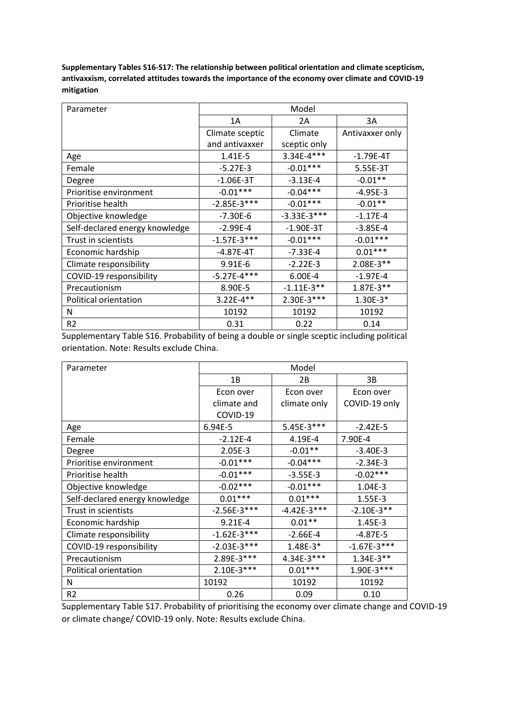**Supplementary Tables S16-S17: The relationship between political orientation and climate scepticism, antivaxxism, correlated attitudes towards the importance of the economy over climate and COVID-19 mitigation**

| Parameter                      |                 | Model         |                 |
|--------------------------------|-----------------|---------------|-----------------|
|                                | 1A              | 2A            | 3A              |
|                                | Climate sceptic | Climate       | Antivaxxer only |
|                                | and antivaxxer  | sceptic only  |                 |
| Age                            | $1.41E-5$       | 3.34E-4***    | $-1.79E-4T$     |
| Female                         | $-5.27E-3$      | $-0.01***$    | 5.55E-3T        |
| Degree                         | $-1.06E-3T$     | $-3.13E-4$    | $-0.01**$       |
| Prioritise environment         | $-0.01***$      | $-0.04***$    | $-4.95E-3$      |
| Prioritise health              | $-2.85E-3***$   | $-0.01***$    | $-0.01**$       |
| Objective knowledge            | $-7.30E-6$      | $-3.33E-3***$ | $-1.17E-4$      |
| Self-declared energy knowledge | $-2.99E-4$      | $-1.90E-3T$   | $-3.85E-4$      |
| Trust in scientists            | $-1.57E-3***$   | $-0.01***$    | $-0.01***$      |
| Economic hardship              | $-4.87E - 4T$   | $-7.33E-4$    | $0.01***$       |
| Climate responsibility         | 9.91E-6         | $-2.22E-3$    | 2.08E-3**       |
| COVID-19 responsibility        | $-5.27E-4***$   | 6.00E-4       | $-1.97E-4$      |
| Precautionism                  | 8.90E-5         | $-1.11E-3**$  | $1.87E-3**$     |
| Political orientation          | $3.22E-4**$     | 2.30E-3***    | $1.30E-3*$      |
| N                              | 10192           | 10192         | 10192           |
| R <sub>2</sub>                 | 0.31            | 0.22          | 0.14            |

Supplementary Table S16. Probability of being a double or single sceptic including political orientation. Note: Results exclude China.

| Parameter                      |               | Model         |               |
|--------------------------------|---------------|---------------|---------------|
|                                | 1B            | 2B            | 3B            |
|                                | Econ over     | Econ over     | Econ over     |
|                                | climate and   | climate only  | COVID-19 only |
|                                | COVID-19      |               |               |
| Age                            | 6.94E-5       | 5.45E-3***    | $-2.42E-5$    |
| Female                         | $-2.12E-4$    | 4.19E-4       | 7.90E-4       |
| Degree                         | 2.05E-3       | $-0.01**$     | $-3.40E-3$    |
| Prioritise environment         | $-0.01***$    | $-0.04***$    | $-2.34E-3$    |
| Prioritise health              | $-0.01***$    | $-3.55E-3$    | $-0.02***$    |
| Objective knowledge            | $-0.02***$    | $-0.01***$    | 1.04E-3       |
| Self-declared energy knowledge | $0.01***$     | $0.01***$     | 1.55E-3       |
| Trust in scientists            | $-2.56E-3***$ | $-4.42E-3***$ | $-2.10E-3**$  |
| Economic hardship              | $9.21E-4$     | $0.01**$      | 1.45E-3       |
| Climate responsibility         | $-1.62E-3***$ | $-2.66E-4$    | $-4.87E-5$    |
| COVID-19 responsibility        | $-2.03E-3***$ | $1.48E-3*$    | $-1.67E-3***$ |
| Precautionism                  | 2.89E-3***    | 4.34E-3***    | $1.34E-3**$   |
| Political orientation          | 2.10E-3***    | $0.01***$     | $1.90E-3***$  |
| N                              | 10192         | 10192         | 10192         |
| R <sub>2</sub>                 | 0.26          | 0.09          | 0.10          |

Supplementary Table S17. Probability of prioritising the economy over climate change and COVID-19 or climate change/ COVID-19 only. Note: Results exclude China.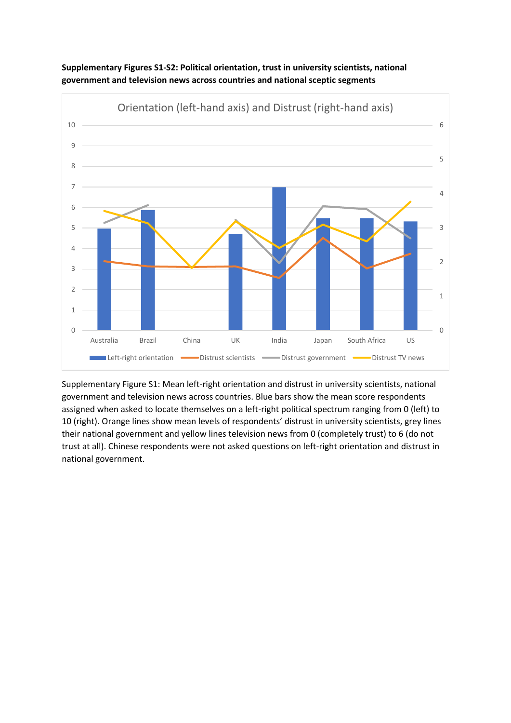



Supplementary Figure S1: Mean left-right orientation and distrust in university scientists, national government and television news across countries. Blue bars show the mean score respondents assigned when asked to locate themselves on a left-right political spectrum ranging from 0 (left) to 10 (right). Orange lines show mean levels of respondents' distrust in university scientists, grey lines their national government and yellow lines television news from 0 (completely trust) to 6 (do not trust at all). Chinese respondents were not asked questions on left-right orientation and distrust in national government.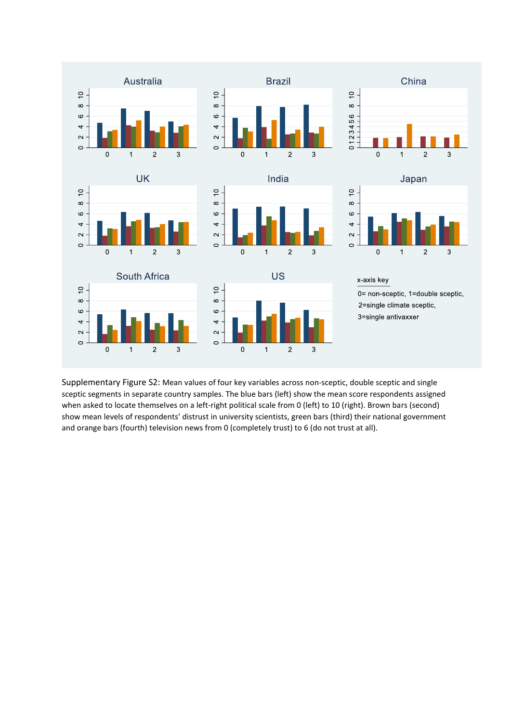

Supplementary Figure S2: Mean values of four key variables across non-sceptic, double sceptic and single sceptic segments in separate country samples. The blue bars (left) show the mean score respondents assigned when asked to locate themselves on a left-right political scale from 0 (left) to 10 (right). Brown bars (second) show mean levels of respondents' distrust in university scientists, green bars (third) their national government and orange bars (fourth) television news from 0 (completely trust) to 6 (do not trust at all).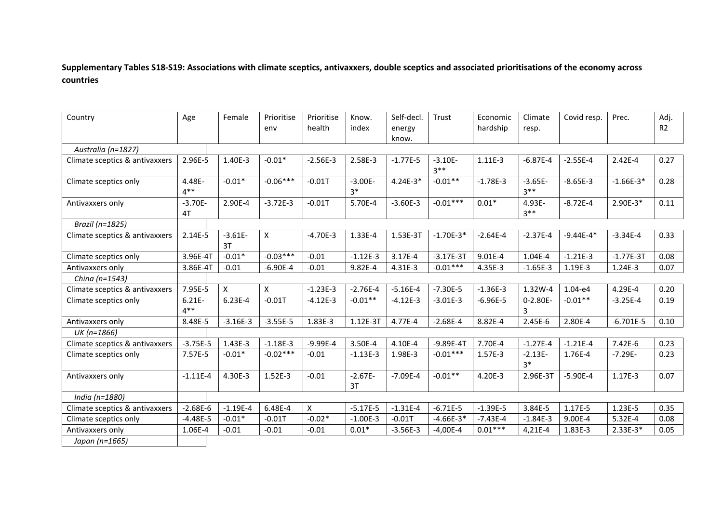### **Supplementary Tables S18-S19: Associations with climate sceptics, antivaxxers, double sceptics and associated prioritisations of the economy across countries**

| Country                        | Age                 | Female          | Prioritise<br>env | Prioritise<br>health | Know.<br>index    | Self-decl.<br>energy | Trust               | Economic<br>hardship | Climate<br>resp.    | Covid resp.   | Prec.       | Adj.<br>R <sub>2</sub> |
|--------------------------------|---------------------|-----------------|-------------------|----------------------|-------------------|----------------------|---------------------|----------------------|---------------------|---------------|-------------|------------------------|
|                                |                     |                 |                   |                      |                   | know.                |                     |                      |                     |               |             |                        |
| Australia (n=1827)             |                     |                 |                   |                      |                   |                      |                     |                      |                     |               |             |                        |
| Climate sceptics & antivaxxers | 2.96E-5             | 1.40E-3         | $-0.01*$          | $-2.56E-3$           | 2.58E-3           | $-1.77E-5$           | $-3.10E-$<br>$3***$ | 1.11E-3              | $-6.87E-4$          | $-2.55E-4$    | $2.42E-4$   | 0.27                   |
| Climate sceptics only          | 4.48E-<br>$4***$    | $-0.01*$        | $-0.06***$        | $-0.01T$             | $-3.00E-$<br>$3*$ | $4.24E-3*$           | $-0.01**$           | $-1.78E-3$           | $-3.65E-$<br>$3***$ | $-8.65E-3$    | $-1.66E-3*$ | 0.28                   |
| Antivaxxers only               | $-3.70E-$<br>4T     | 2.90E-4         | $-3.72E-3$        | $-0.01T$             | 5.70E-4           | $-3.60E-3$           | $-0.01***$          | $0.01*$              | 4.93E-<br>$3***$    | $-8.72E-4$    | 2.90E-3*    | 0.11                   |
| Brazil (n=1825)                |                     |                 |                   |                      |                   |                      |                     |                      |                     |               |             |                        |
| Climate sceptics & antivaxxers | 2.14E-5             | $-3.61E-$<br>3T | X                 | $-4.70E-3$           | 1.33E-4           | 1.53E-3T             | $-1.70E-3*$         | $-2.64E-4$           | $-2.37E-4$          | $-9.44E - 4*$ | $-3.34E-4$  | 0.33                   |
| Climate sceptics only          | 3.96E-4T            | $-0.01*$        | $-0.03***$        | $-0.01$              | $-1.12E-3$        | 3.17E-4              | $-3.17E-3T$         | 9.01E-4              | 1.04E-4             | $-1.21E-3$    | $-1.77E-3T$ | 0.08                   |
| Antivaxxers only               | 3.86E-4T            | $-0.01$         | $-6.90E-4$        | $-0.01$              | 9.82E-4           | 4.31E-3              | $-0.01***$          | 4.35E-3              | $-1.65E-3$          | 1.19E-3       | 1.24E-3     | 0.07                   |
| China (n=1543)                 |                     |                 |                   |                      |                   |                      |                     |                      |                     |               |             |                        |
| Climate sceptics & antivaxxers | 7.95E-5             | X               | X                 | $-1.23E-3$           | $-2.76E-4$        | $-5.16E-4$           | $-7.30E-5$          | $-1.36E-3$           | 1.32W-4             | $1.04 - e4$   | 4.29E-4     | 0.20                   |
| Climate sceptics only          | $6.21E -$<br>$4***$ | $6.23E-4$       | $-0.01T$          | $-4.12E-3$           | $-0.01**$         | $-4.12E-3$           | $-3.01E-3$          | $-6.96E-5$           | $0 - 2.80E -$<br>3  | $-0.01**$     | $-3.25E-4$  | 0.19                   |
| Antivaxxers only               | 8.48E-5             | $-3.16E-3$      | $-3.55E-5$        | 1.83E-3              | 1.12E-3T          | 4.77E-4              | $-2.68E-4$          | 8.82E-4              | 2.45E-6             | 2.80E-4       | $-6.701E-5$ | 0.10                   |
| UK (n=1866)                    |                     |                 |                   |                      |                   |                      |                     |                      |                     |               |             |                        |
| Climate sceptics & antivaxxers | $-3.75E-5$          | 1.43E-3         | $-1.18E-3$        | $-9.99E-4$           | 3.50E-4           | 4.10E-4              | $-9.89E-4T$         | 7.70E-4              | $-1.27E-4$          | $-1.21E-4$    | 7.42E-6     | 0.23                   |
| Climate sceptics only          | 7.57E-5             | $-0.01*$        | $-0.02***$        | $-0.01$              | $-1.13E-3$        | 1.98E-3              | $-0.01***$          | $1.57E-3$            | $-2.13E-$<br>$3*$   | 1.76E-4       | $-7.29E -$  | 0.23                   |
| Antivaxxers only               | $-1.11E-4$          | 4.30E-3         | $1.52E-3$         | $-0.01$              | $-2.67E-$<br>3T   | $-7.09E-4$           | $-0.01**$           | 4.20E-3              | 2.96E-3T            | $-5.90E-4$    | $1.17E-3$   | 0.07                   |
| India (n=1880)                 |                     |                 |                   |                      |                   |                      |                     |                      |                     |               |             |                        |
| Climate sceptics & antivaxxers | $-2.68E-6$          | $-1.19E-4$      | 6.48E-4           | X                    | $-5.17E-5$        | $-1.31E-4$           | $-6.71E-5$          | $-1.39E-5$           | 3.84E-5             | 1.17E-5       | 1.23E-5     | 0.35                   |
| Climate sceptics only          | $-4.48E-5$          | $-0.01*$        | $-0.01T$          | $-0.02*$             | $-1.00E-3$        | $-0.01T$             | $-4.66E-3*$         | $-7.43E-4$           | $-1.84E-3$          | 9.00E-4       | $5.32E-4$   | 0.08                   |
| Antivaxxers only               | 1.06E-4             | $-0.01$         | $-0.01$           | $-0.01$              | $0.01*$           | $-3.56E-3$           | $-4,00E-4$          | $0.01***$            | 4,21E-4             | 1.83E-3       | $2.33E-3*$  | 0.05                   |
| Japan (n=1665)                 |                     |                 |                   |                      |                   |                      |                     |                      |                     |               |             |                        |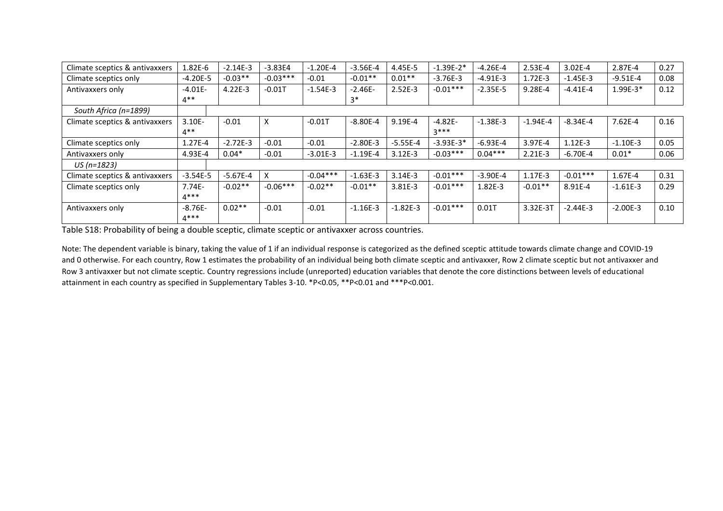| Climate sceptics & antivaxxers | 1.82E-6    | $-2.14E-3$ | $-3.83E4$  | $-1.20E-4$ | $-3.56E-4$ | 4.45E-5     | $-1.39E-2*$ | $-4.26E - 4$ | $2.53E-4$   | $3.02E-4$  | 2.87E-4    | 0.27 |
|--------------------------------|------------|------------|------------|------------|------------|-------------|-------------|--------------|-------------|------------|------------|------|
| Climate sceptics only          | $-4.20E-5$ | $-0.03**$  | $-0.03***$ | $-0.01$    | $-0.01**$  | $0.01**$    | $-3.76E-3$  | $-4.91E-3$   | $1.72E - 3$ | $-1.45E-3$ | $-9.51E-4$ | 0.08 |
| Antivaxxers only               | $-4.01E-$  | $4.22E-3$  | $-0.01T$   | $-1.54E-3$ | $-2.46E-$  | $2.52E-3$   | $-0.01***$  | $-2.35E-5$   | 9.28E-4     | $-4.41E-4$ | $1.99E-3*$ | 0.12 |
|                                | $4**$      |            |            |            | $3*$       |             |             |              |             |            |            |      |
| South Africa (n=1899)          |            |            |            |            |            |             |             |              |             |            |            |      |
| Climate sceptics & antivaxxers | $3.10E -$  | $-0.01$    | $\times$   | $-0.01T$   | $-8.80E-4$ | $9.19E - 4$ | $-4.82E-$   | $-1.38E-3$   | $-1.94E-4$  | $-8.34E-4$ | $7.62E-4$  | 0.16 |
|                                | $4**$      |            |            |            |            |             | $3***$      |              |             |            |            |      |
| Climate sceptics only          | $1.27E-4$  | $-2.72E-3$ | $-0.01$    | $-0.01$    | $-2.80E-3$ | $-5.55E-4$  | $-3.93E-3*$ | $-6.93E-4$   | 3.97E-4     | $1.12E-3$  | $-1.10E-3$ | 0.05 |
| Antivaxxers only               | 4.93E-4    | $0.04*$    | $-0.01$    | $-3.01E-3$ | $-1.19E-4$ | $3.12E - 3$ | $-0.03***$  | $0.04***$    | $2.21E-3$   | $-6.70E-4$ | $0.01*$    | 0.06 |
| US (n=1823)                    |            |            |            |            |            |             |             |              |             |            |            |      |
| Climate sceptics & antivaxxers | $-3.54E-5$ | $-5.67E-4$ |            | $-0.04***$ | $-1.63E-3$ | $3.14E-3$   | $-0.01***$  | $-3.90E-4$   | $1.17E-3$   | $-0.01***$ | 1.67E-4    | 0.31 |
| Climate sceptics only          | $7.74E -$  | $-0.02**$  | $-0.06***$ | $-0.02**$  | $-0.01**$  | 3.81E-3     | $-0.01***$  | $1.82E - 3$  | $-0.01**$   | 8.91E-4    | $-1.61E-3$ | 0.29 |
|                                | $4***$     |            |            |            |            |             |             |              |             |            |            |      |
| Antivaxxers only               | $-8.76E-$  | $0.02**$   | $-0.01$    | $-0.01$    | $-1.16E-3$ | $-1.82E-3$  | $-0.01***$  | 0.01T        | 3.32E-3T    | $-2.44E-3$ | $-2.00E-3$ | 0.10 |
|                                | $4***$     |            |            |            |            |             |             |              |             |            |            |      |

Table S18: Probability of being a double sceptic, climate sceptic or antivaxxer across countries.

Note: The dependent variable is binary, taking the value of 1 if an individual response is categorized as the defined sceptic attitude towards climate change and COVID-19 and 0 otherwise. For each country, Row 1 estimates the probability of an individual being both climate sceptic and antivaxxer, Row 2 climate sceptic but not antivaxxer and Row 3 antivaxxer but not climate sceptic. Country regressions include (unreported) education variables that denote the core distinctions between levels of educational attainment in each country as specified in Supplementary Tables 3-10. \*P<0.05, \*\*P<0.01 and \*\*\*P<0.001.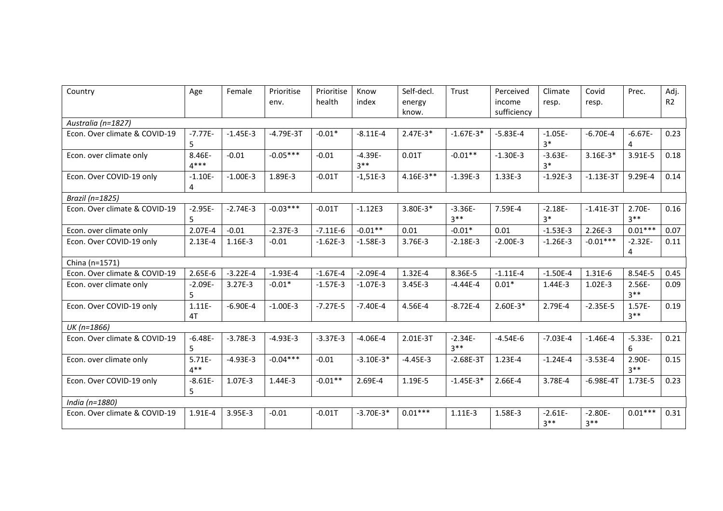| Country                       | Age                | Female     | Prioritise<br>env. | Prioritise<br>health | Know<br>index      | Self-decl.<br>energy | Trust              | Perceived<br>income | Climate<br>resp.    | Covid<br>resp.      | Prec.               | Adj.<br>R <sub>2</sub> |
|-------------------------------|--------------------|------------|--------------------|----------------------|--------------------|----------------------|--------------------|---------------------|---------------------|---------------------|---------------------|------------------------|
|                               |                    |            |                    |                      |                    | know.                |                    | sufficiency         |                     |                     |                     |                        |
| Australia (n=1827)            |                    |            |                    |                      |                    |                      |                    |                     |                     |                     |                     |                        |
| Econ. Over climate & COVID-19 | $-7.77E-$<br>5     | $-1.45E-3$ | $-4.79E-3T$        | $-0.01*$             | $-8.11E-4$         | $2.47E-3*$           | $-1.67E-3*$        | $-5.83E-4$          | $-1.05E-$<br>$3*$   | $-6.70E-4$          | $-6.67E-$<br>4      | 0.23                   |
| Econ. over climate only       | 8.46E-<br>$4***$   | $-0.01$    | $-0.05***$         | $-0.01$              | $-4.39E-$<br>$3**$ | 0.01T                | $-0.01**$          | $-1.30E-3$          | $-3.63E-$<br>$3*$   | $3.16E-3*$          | 3.91E-5             | 0.18                   |
| Econ. Over COVID-19 only      | $-1.10E-$<br>4     | $-1.00E-3$ | 1.89E-3            | $-0.01T$             | $-1,51E-3$         | $4.16E-3**$          | $-1.39E-3$         | 1.33E-3             | $-1.92E-3$          | $-1.13E-3T$         | 9.29E-4             | 0.14                   |
| Brazil (n=1825)               |                    |            |                    |                      |                    |                      |                    |                     |                     |                     |                     |                        |
| Econ. Over climate & COVID-19 | $-2.95E-$<br>5     | $-2.74E-3$ | $-0.03***$         | $-0.01T$             | $-1.12E3$          | 3.80E-3*             | $-3.36E-$<br>$3**$ | 7.59E-4             | $-2.18E-$<br>$3*$   | $-1.41E-3T$         | 2.70E-<br>$3***$    | 0.16                   |
| Econ. over climate only       | 2.07E-4            | $-0.01$    | $-2.37E-3$         | $-7.11E-6$           | $-0.01**$          | 0.01                 | $-0.01*$           | 0.01                | $-1.53E-3$          | 2.26E-3             | $0.01***$           | 0.07                   |
| Econ. Over COVID-19 only      | $2.13E-4$          | 1.16E-3    | $-0.01$            | $-1.62E-3$           | $-1.58E-3$         | 3.76E-3              | $-2.18E-3$         | $-2.00E-3$          | $-1.26E-3$          | $-0.01***$          | $-2.32E-$<br>4      | 0.11                   |
| China (n=1571)                |                    |            |                    |                      |                    |                      |                    |                     |                     |                     |                     |                        |
| Econ. Over climate & COVID-19 | $2.65E-6$          | $-3.22E-4$ | $-1.93E-4$         | $-1.67E-4$           | $-2.09E-4$         | 1.32E-4              | 8.36E-5            | $-1.11E-4$          | $-1.50E-4$          | 1.31E-6             | 8.54E-5             | 0.45                   |
| Econ. over climate only       | $-2.09E -$<br>5    | $3.27E-3$  | $-0.01*$           | $-1.57E-3$           | $-1.07E-3$         | $3.45E - 3$          | $-4.44E-4$         | $0.01*$             | 1.44E-3             | $1.02E-3$           | $2.56E -$<br>$3**$  | 0.09                   |
| Econ. Over COVID-19 only      | $1.11E -$<br>4T    | $-6.90E-4$ | $-1.00E-3$         | $-7.27E-5$           | $-7.40E-4$         | 4.56E-4              | $-8.72E-4$         | $2.60E-3*$          | 2.79E-4             | $-2.35E-5$          | $1.57E -$<br>$3***$ | 0.19                   |
| UK (n=1866)                   |                    |            |                    |                      |                    |                      |                    |                     |                     |                     |                     |                        |
| Econ. Over climate & COVID-19 | $-6.48E-$<br>5     | $-3.78E-3$ | $-4.93E-3$         | $-3.37E-3$           | $-4.06E-4$         | 2.01E-3T             | $-2.34E-$<br>$3**$ | $-4.54E-6$          | $-7.03E-4$          | $-1.46E-4$          | $-5.33E-$<br>6      | 0.21                   |
| Econ. over climate only       | $5.71E -$<br>$4**$ | $-4.93E-3$ | $-0.04***$         | $-0.01$              | $-3.10E-3*$        | $-4.45E-3$           | $-2.68E-3T$        | $1.23E-4$           | $-1.24E-4$          | $-3.53E-4$          | 2.90E-<br>$3**$     | 0.15                   |
| Econ. Over COVID-19 only      | $-8.61E-$<br>5     | 1.07E-3    | 1.44E-3            | $-0.01**$            | 2.69E-4            | 1.19E-5              | $-1.45E-3*$        | 2.66E-4             | 3.78E-4             | $-6.98E - 4T$       | 1.73E-5             | 0.23                   |
| India (n=1880)                |                    |            |                    |                      |                    |                      |                    |                     |                     |                     |                     |                        |
| Econ. Over climate & COVID-19 | 1.91E-4            | 3.95E-3    | $-0.01$            | $-0.01T$             | $-3.70E-3*$        | $0.01***$            | $1.11E-3$          | 1.58E-3             | $-2.61E-$<br>$3***$ | $-2.80E -$<br>$3**$ | $0.01***$           | 0.31                   |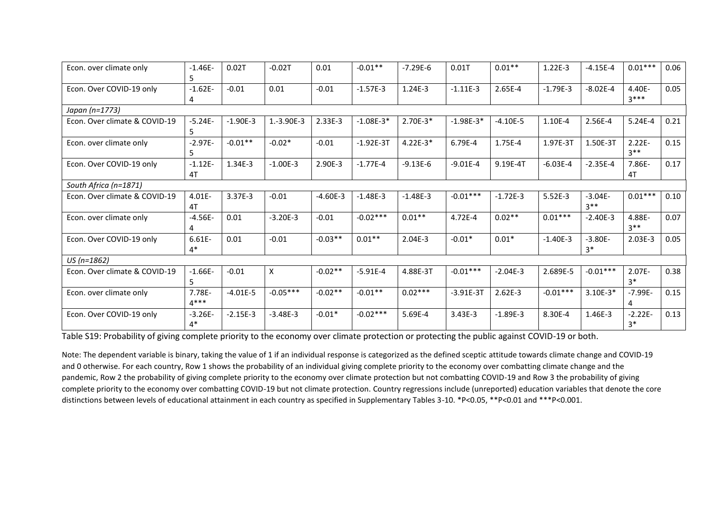| Econ. over climate only       | $-1.46E-$<br>5    | 0.02T      | $-0.02T$   | 0.01       | $-0.01**$   | $-7.29E-6$ | 0.01T       | $0.01**$   | 1.22E-3    | $-4.15E-4$          | $0.01***$           | 0.06 |
|-------------------------------|-------------------|------------|------------|------------|-------------|------------|-------------|------------|------------|---------------------|---------------------|------|
| Econ. Over COVID-19 only      | $-1.62E-$         | $-0.01$    | 0.01       | $-0.01$    | $-1.57E-3$  | 1.24E-3    | $-1.11E-3$  | 2.65E-4    | $-1.79E-3$ | $-8.02E-4$          | $4.40E -$<br>$3***$ | 0.05 |
| Japan (n=1773)                |                   |            |            |            |             |            |             |            |            |                     |                     |      |
| Econ. Over climate & COVID-19 | $-5.24E-$         | $-1.90E-3$ | 1.-3.90E-3 | 2.33E-3    | $-1.08E-3*$ | 2.70E-3*   | $-1.98E-3*$ | $-4.10E-5$ | 1.10E-4    | 2.56E-4             | 5.24E-4             | 0.21 |
| Econ. over climate only       | $-2.97E-$         | $-0.01**$  | $-0.02*$   | $-0.01$    | $-1.92E-3T$ | $4.22E-3*$ | 6.79E-4     | 1.75E-4    | 1.97E-3T   | 1.50E-3T            | $2.22E -$<br>$3***$ | 0.15 |
| Econ. Over COVID-19 only      | $-1.12E-$<br>4T   | 1.34E-3    | $-1.00E-3$ | 2.90E-3    | $-1.77E-4$  | $-9.13E-6$ | $-9.01E-4$  | 9.19E-4T   | $-6.03E-4$ | $-2.35E-4$          | 7.86E-<br>4T        | 0.17 |
| South Africa (n=1871)         |                   |            |            |            |             |            |             |            |            |                     |                     |      |
| Econ. Over climate & COVID-19 | 4.01E-<br>4T      | 3.37E-3    | $-0.01$    | $-4.60E-3$ | $-1.48E-3$  | $-1.48E-3$ | $-0.01***$  | $-1.72E-3$ | $5.52E-3$  | $-3.04E -$<br>$3**$ | $0.01***$           | 0.10 |
| Econ. over climate only       | $-4.56E-$         | 0.01       | $-3.20E-3$ | $-0.01$    | $-0.02***$  | $0.01**$   | 4.72E-4     | $0.02**$   | $0.01***$  | $-2.40E-3$          | 4.88E-<br>$3**$     | 0.07 |
| Econ. Over COVID-19 only      | $6.61E -$<br>$4*$ | 0.01       | $-0.01$    | $-0.03**$  | $0.01**$    | $2.04E-3$  | $-0.01*$    | $0.01*$    | $-1.40E-3$ | $-3.80E-$<br>$3*$   | $2.03E-3$           | 0.05 |
| $US (n=1862)$                 |                   |            |            |            |             |            |             |            |            |                     |                     |      |
| Econ. Over climate & COVID-19 | $-1.66E-$         | $-0.01$    | X          | $-0.02**$  | $-5.91E-4$  | 4.88E-3T   | $-0.01***$  | $-2.04E-3$ | 2.689E-5   | $-0.01***$          | $2.07E -$<br>$3*$   | 0.38 |
| Econ. over climate only       | 7.78E-<br>$4***$  | $-4.01E-5$ | $-0.05***$ | $-0.02**$  | $-0.01**$   | $0.02***$  | $-3.91E-3T$ | $2.62E-3$  | $-0.01***$ | $3.10E-3*$          | $-7.99E-$           | 0.15 |
| Econ. Over COVID-19 only      | $-3.26E-$<br>$4*$ | $-2.15E-3$ | $-3.48E-3$ | $-0.01*$   | $-0.02***$  | 5.69E-4    | 3.43E-3     | $-1.89E-3$ | 8.30E-4    | 1.46E-3             | $-2.22E-$<br>$3*$   | 0.13 |

Table S19: Probability of giving complete priority to the economy over climate protection or protecting the public against COVID-19 or both.

Note: The dependent variable is binary, taking the value of 1 if an individual response is categorized as the defined sceptic attitude towards climate change and COVID-19 and 0 otherwise. For each country, Row 1 shows the probability of an individual giving complete priority to the economy over combatting climate change and the pandemic, Row 2 the probability of giving complete priority to the economy over climate protection but not combatting COVID-19 and Row 3 the probability of giving complete priority to the economy over combatting COVID-19 but not climate protection. Country regressions include (unreported) education variables that denote the core distinctions between levels of educational attainment in each country as specified in Supplementary Tables 3-10. \*P<0.05, \*\*P<0.01 and \*\*\*P<0.001.